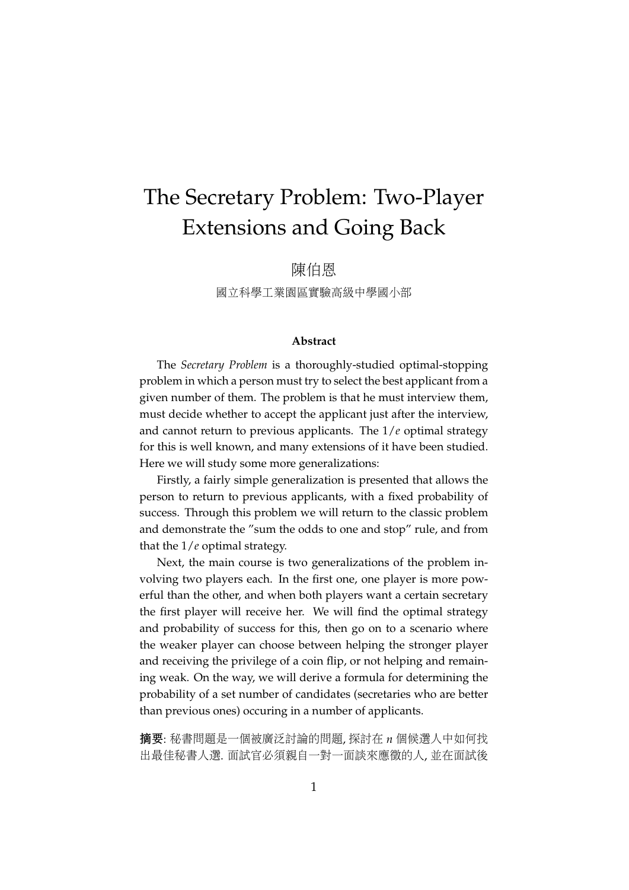# The Secretary Problem: Two-Player Extensions and Going Back

<sup>陳</sup>伯<sup>恩</sup>

<sup>國</sup>立科學工業園區實驗高級中學國小<sup>部</sup>

#### **Abstract**

The *Secretary Problem* is a thoroughly-studied optimal-stopping problem in which a person must try to select the best applicant from a given number of them. The problem is that he must interview them, must decide whether to accept the applicant just after the interview, and cannot return to previous applicants. The 1/*e* optimal strategy for this is well known, and many extensions of it have been studied. Here we will study some more generalizations:

Firstly, a fairly simple generalization is presented that allows the person to return to previous applicants, with a fixed probability of success. Through this problem we will return to the classic problem and demonstrate the "sum the odds to one and stop" rule, and from that the 1/*e* optimal strategy.

Next, the main course is two generalizations of the problem involving two players each. In the first one, one player is more powerful than the other, and when both players want a certain secretary the first player will receive her. We will find the optimal strategy and probability of success for this, then go on to a scenario where the weaker player can choose between helping the stronger player and receiving the privilege of a coin flip, or not helping and remaining weak. On the way, we will derive a formula for determining the probability of a set number of candidates (secretaries who are better than previous ones) occuring in a number of applicants.

<sup>摘</sup>要: <sup>秘</sup>書問題是一個被廣泛討論的問題, <sup>探</sup>討<sup>在</sup> *<sup>n</sup>* 個候選人中如何找 <sup>出</sup>最佳秘書人選. <sup>面</sup>試官必須親自一對一面談來應徵的人, <sup>並</sup>在面試後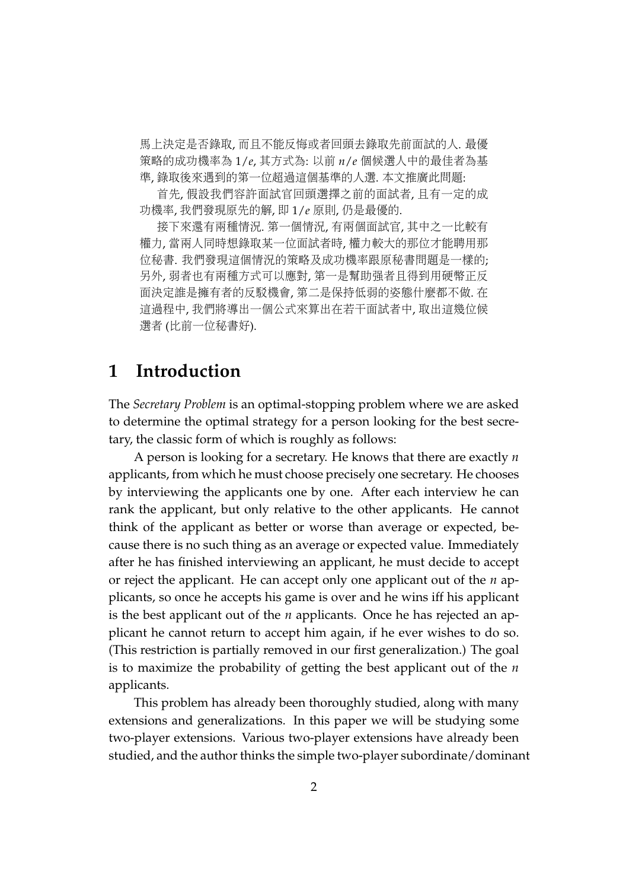<sup>馬</sup>上決定是否錄取, 而且不能反悔或者回頭去錄取先前面試的人. 最<sup>優</sup> <sup>策</sup>略的成功機率<sup>為</sup> 1/*e*, <sup>其</sup>方式為: <sup>以</sup><sup>前</sup> *<sup>n</sup>*/*<sup>e</sup>* 個候選人中的最佳者為<sup>基</sup> <sup>準</sup>, 錄取後來遇到的第一位超過這個基準的人選. 本文推廣此問題:

<sup>首</sup>先, <sup>假</sup>設我們容許面試官回頭選擇之前的面試者, <sup>且</sup>有一定的成 <sup>功</sup>機率, 我們發現原先的解, 即 1/*<sup>e</sup>* 原則, <sup>仍</sup>是最優的.

<sup>接</sup>下來還有兩種情況. <sup>第</sup>一個情況, 有兩個面試官, <sup>其</sup>中之一比較有 權力, 當兩人同時想錄取某一位面試者時, 權力較大的那位才能聘用<sup>那</sup> 位秘書. 我們發現這個情況的策略及成功機率跟原秘書問題是一樣的; 另外, 弱者也有兩種方式可以應對, <sup>第</sup>一是幫助強者且得到用硬幣正反 <sup>面</sup>決定誰是擁有者的反駁機會, <sup>第</sup>二是保持低弱的姿態什麼都不做. <sup>在</sup> 這過程中, 我們將導出一個公式來算出在若干面試者中, 取出這幾位<sup>候</sup> <sup>選</sup>者 (比前一位秘書好).

#### **1 Introduction**

The *Secretary Problem* is an optimal-stopping problem where we are asked to determine the optimal strategy for a person looking for the best secretary, the classic form of which is roughly as follows:

A person is looking for a secretary. He knows that there are exactly *n* applicants, from which he must choose precisely one secretary. He chooses by interviewing the applicants one by one. After each interview he can rank the applicant, but only relative to the other applicants. He cannot think of the applicant as better or worse than average or expected, because there is no such thing as an average or expected value. Immediately after he has finished interviewing an applicant, he must decide to accept or reject the applicant. He can accept only one applicant out of the *n* applicants, so once he accepts his game is over and he wins iff his applicant is the best applicant out of the *n* applicants. Once he has rejected an applicant he cannot return to accept him again, if he ever wishes to do so. (This restriction is partially removed in our first generalization.) The goal is to maximize the probability of getting the best applicant out of the *n* applicants.

This problem has already been thoroughly studied, along with many extensions and generalizations. In this paper we will be studying some two-player extensions. Various two-player extensions have already been studied, and the author thinks the simple two-player subordinate/dominant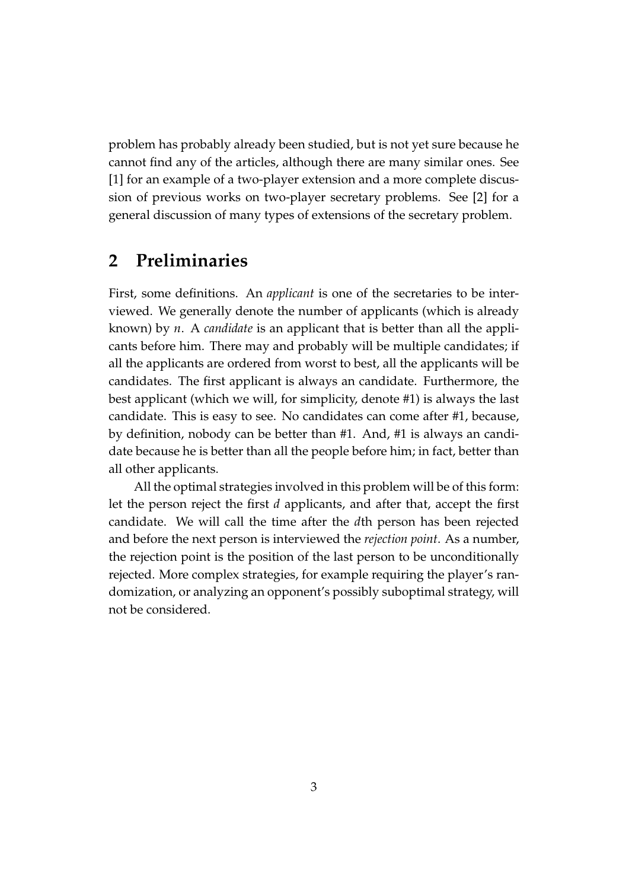problem has probably already been studied, but is not yet sure because he cannot find any of the articles, although there are many similar ones. See [1] for an example of a two-player extension and a more complete discussion of previous works on two-player secretary problems. See [2] for a general discussion of many types of extensions of the secretary problem.

#### **2 Preliminaries**

First, some definitions. An *applicant* is one of the secretaries to be interviewed. We generally denote the number of applicants (which is already known) by *n*. A *candidate* is an applicant that is better than all the applicants before him. There may and probably will be multiple candidates; if all the applicants are ordered from worst to best, all the applicants will be candidates. The first applicant is always an candidate. Furthermore, the best applicant (which we will, for simplicity, denote #1) is always the last candidate. This is easy to see. No candidates can come after #1, because, by definition, nobody can be better than #1. And, #1 is always an candidate because he is better than all the people before him; in fact, better than all other applicants.

All the optimal strategies involved in this problem will be of this form: let the person reject the first *d* applicants, and after that, accept the first candidate. We will call the time after the *d*th person has been rejected and before the next person is interviewed the *rejection point*. As a number, the rejection point is the position of the last person to be unconditionally rejected. More complex strategies, for example requiring the player's randomization, or analyzing an opponent's possibly suboptimal strategy, will not be considered.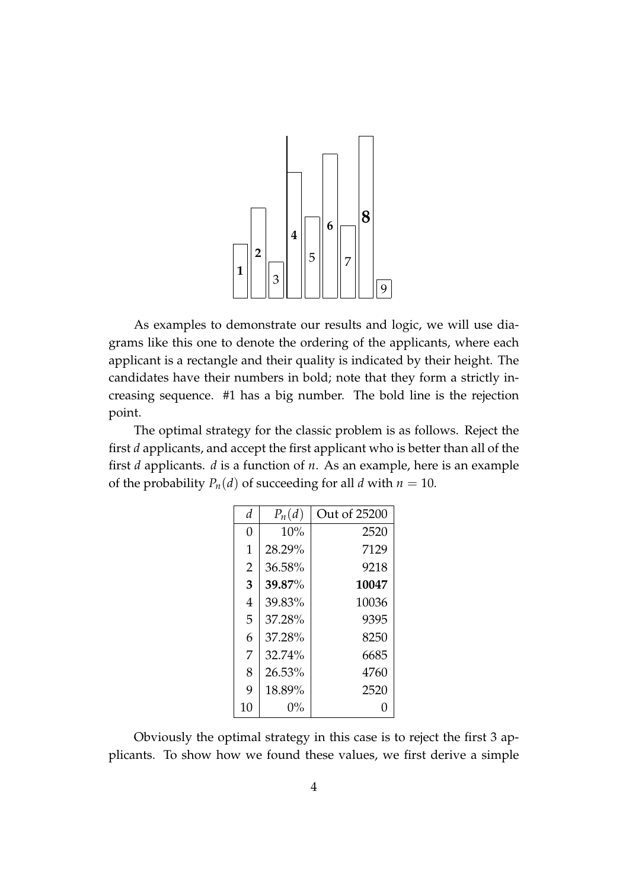

As examples to demonstrate our results and logic, we will use diagrams like this one to denote the ordering of the applicants, where each applicant is a rectangle and their quality is indicated by their height. The candidates have their numbers in bold; note that they form a strictly increasing sequence. #1 has a big number. The bold line is the rejection point.

The optimal strategy for the classic problem is as follows. Reject the first *d* applicants, and accept the first applicant who is better than all of the first *d* applicants. *d* is a function of *n*. As an example, here is an example of the probability  $P_n(d)$  of succeeding for all *d* with  $n = 10$ .

| d              | $P_n(d)$ | Out of 25200 |
|----------------|----------|--------------|
| 0              | 10%      | 2520         |
| 1              | 28.29%   | 7129         |
| $\overline{2}$ | 36.58%   | 9218         |
| 3              | 39.87%   | 10047        |
| 4              | 39.83%   | 10036        |
| 5              | 37.28%   | 9395         |
| 6              | 37.28%   | 8250         |
| 7              | 32.74%   | 6685         |
| 8              | 26.53%   | 4760         |
| 9              | 18.89%   | 2520         |
| 10             | 0%       | 0            |

Obviously the optimal strategy in this case is to reject the first 3 applicants. To show how we found these values, we first derive a simple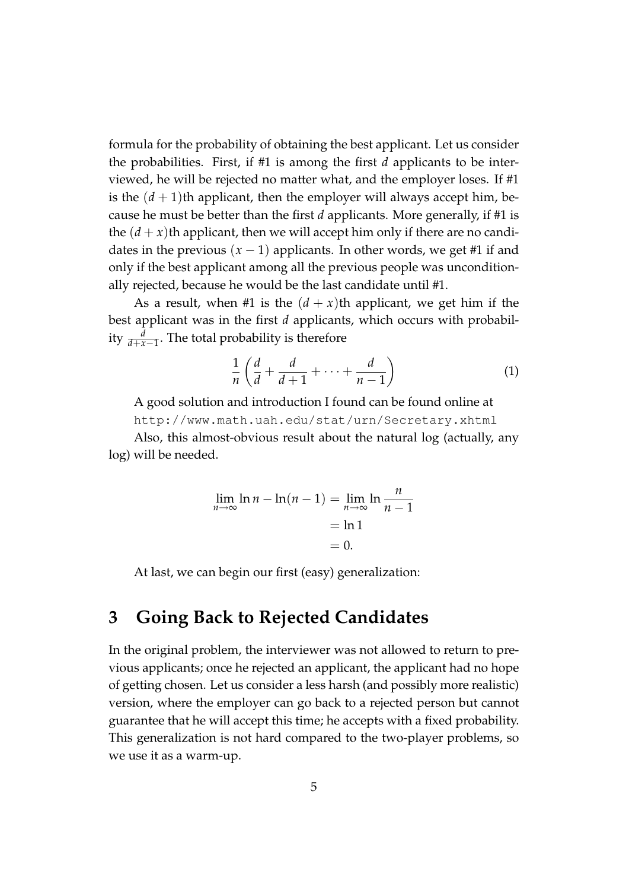formula for the probability of obtaining the best applicant. Let us consider the probabilities. First, if #1 is among the first *d* applicants to be interviewed, he will be rejected no matter what, and the employer loses. If #1 is the  $(d+1)$ <sup>th</sup> applicant, then the employer will always accept him, because he must be better than the first *d* applicants. More generally, if #1 is the  $(d + x)$ th applicant, then we will accept him only if there are no candidates in the previous  $(x - 1)$  applicants. In other words, we get #1 if and only if the best applicant among all the previous people was unconditionally rejected, because he would be the last candidate until #1.

As a result, when #1 is the  $(d + x)$ th applicant, we get him if the best applicant was in the first *d* applicants, which occurs with probability  $\frac{d}{d+x-1}$ . The total probability is therefore

$$
\frac{1}{n}\left(\frac{d}{d}+\frac{d}{d+1}+\cdots+\frac{d}{n-1}\right) \tag{1}
$$

A good solution and introduction I found can be found online at http://www.math.uah.edu/stat/urn/Secretary.xhtml

Also, this almost-obvious result about the natural log (actually, any log) will be needed.

$$
\lim_{n \to \infty} \ln n - \ln(n-1) = \lim_{n \to \infty} \ln \frac{n}{n-1}
$$

$$
= \ln 1
$$

$$
= 0.
$$

At last, we can begin our first (easy) generalization:

#### **3 Going Back to Rejected Candidates**

In the original problem, the interviewer was not allowed to return to previous applicants; once he rejected an applicant, the applicant had no hope of getting chosen. Let us consider a less harsh (and possibly more realistic) version, where the employer can go back to a rejected person but cannot guarantee that he will accept this time; he accepts with a fixed probability. This generalization is not hard compared to the two-player problems, so we use it as a warm-up.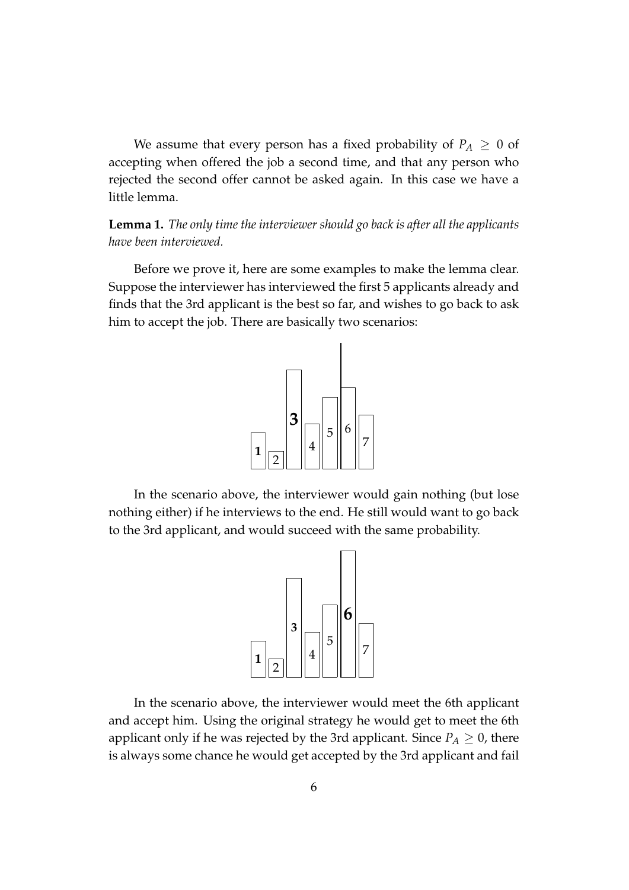We assume that every person has a fixed probability of  $P_A \geq 0$  of accepting when offered the job a second time, and that any person who rejected the second offer cannot be asked again. In this case we have a little lemma.

**Lemma 1.** *The only time the interviewer should go back is after all the applicants have been interviewed.*

Before we prove it, here are some examples to make the lemma clear. Suppose the interviewer has interviewed the first 5 applicants already and finds that the 3rd applicant is the best so far, and wishes to go back to ask him to accept the job. There are basically two scenarios:



In the scenario above, the interviewer would gain nothing (but lose nothing either) if he interviews to the end. He still would want to go back to the 3rd applicant, and would succeed with the same probability.



In the scenario above, the interviewer would meet the 6th applicant and accept him. Using the original strategy he would get to meet the 6th applicant only if he was rejected by the 3rd applicant. Since  $P_A \geq 0$ , there is always some chance he would get accepted by the 3rd applicant and fail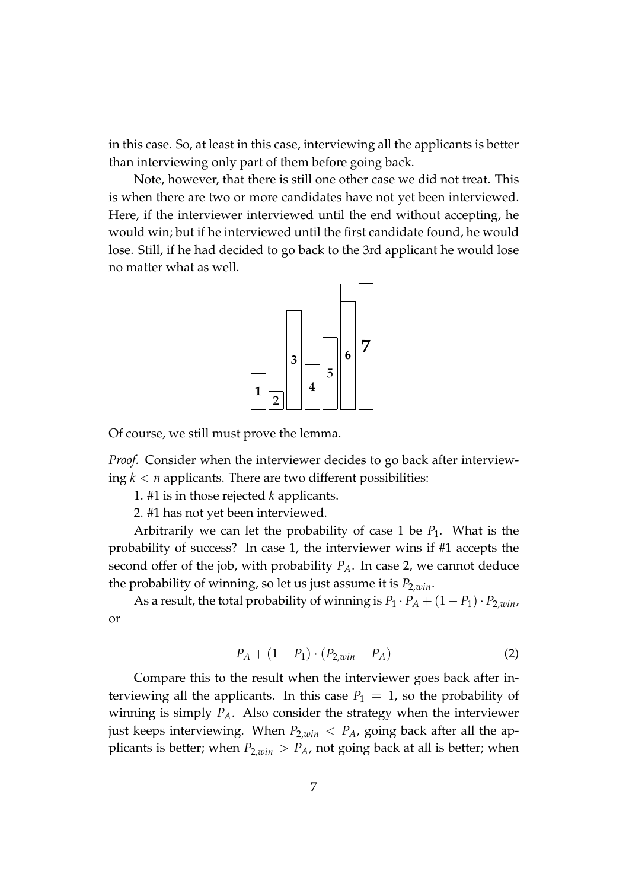in this case. So, at least in this case, interviewing all the applicants is better than interviewing only part of them before going back.

Note, however, that there is still one other case we did not treat. This is when there are two or more candidates have not yet been interviewed. Here, if the interviewer interviewed until the end without accepting, he would win; but if he interviewed until the first candidate found, he would lose. Still, if he had decided to go back to the 3rd applicant he would lose no matter what as well.



Of course, we still must prove the lemma.

*Proof.* Consider when the interviewer decides to go back after interviewing  $k < n$  applicants. There are two different possibilities:

1. #1 is in those rejected *k* applicants.

2. #1 has not yet been interviewed.

Arbitrarily we can let the probability of case 1 be  $P_1$ . What is the probability of success? In case 1, the interviewer wins if #1 accepts the second offer of the job, with probability  $P_A$ . In case 2, we cannot deduce the probability of winning, so let us just assume it is *P*2,*win*.

As a result, the total probability of winning is  $P_1 \cdot P_A + (1 - P_1) \cdot P_{2,win}$ , or

$$
P_A + (1 - P_1) \cdot (P_{2,win} - P_A) \tag{2}
$$

Compare this to the result when the interviewer goes back after interviewing all the applicants. In this case  $P_1 = 1$ , so the probability of winning is simply *PA*. Also consider the strategy when the interviewer just keeps interviewing. When  $P_{2,win} < P_A$ , going back after all the applicants is better; when  $P_{2,win} > P_A$ , not going back at all is better; when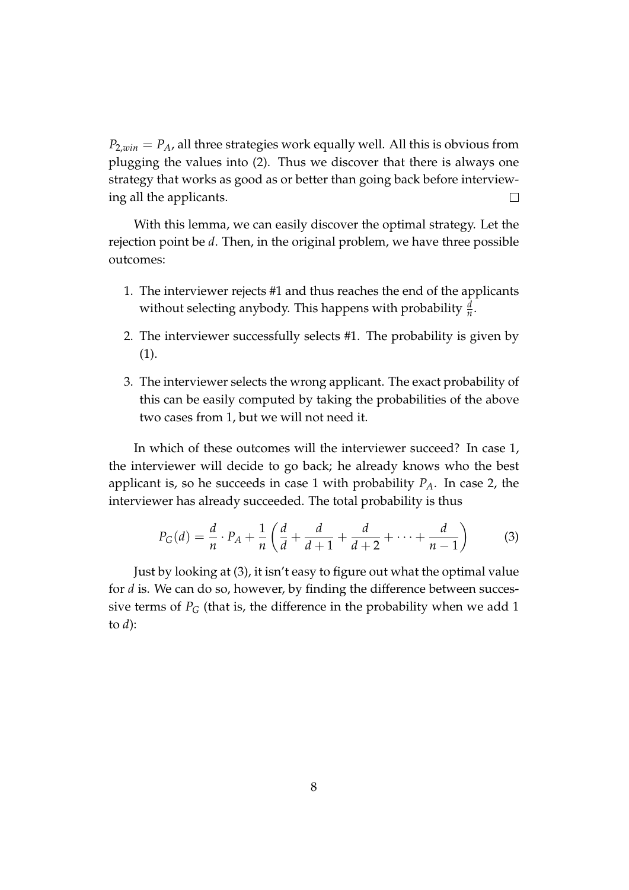$P_{2,win} = P_A$ , all three strategies work equally well. All this is obvious from plugging the values into (2). Thus we discover that there is always one strategy that works as good as or better than going back before interviewing all the applicants.  $\Box$ 

With this lemma, we can easily discover the optimal strategy. Let the rejection point be *d*. Then, in the original problem, we have three possible outcomes:

- 1. The interviewer rejects #1 and thus reaches the end of the applicants without selecting anybody. This happens with probability  $\frac{d}{n}$ .
- 2. The interviewer successfully selects #1. The probability is given by (1).
- 3. The interviewer selects the wrong applicant. The exact probability of this can be easily computed by taking the probabilities of the above two cases from 1, but we will not need it.

In which of these outcomes will the interviewer succeed? In case 1, the interviewer will decide to go back; he already knows who the best applicant is, so he succeeds in case 1 with probability  $P_A$ . In case 2, the interviewer has already succeeded. The total probability is thus

$$
P_G(d) = \frac{d}{n} \cdot P_A + \frac{1}{n} \left( \frac{d}{d} + \frac{d}{d+1} + \frac{d}{d+2} + \dots + \frac{d}{n-1} \right) \tag{3}
$$

Just by looking at (3), it isn't easy to figure out what the optimal value for *d* is. We can do so, however, by finding the difference between successive terms of  $P_G$  (that is, the difference in the probability when we add 1 to *d*):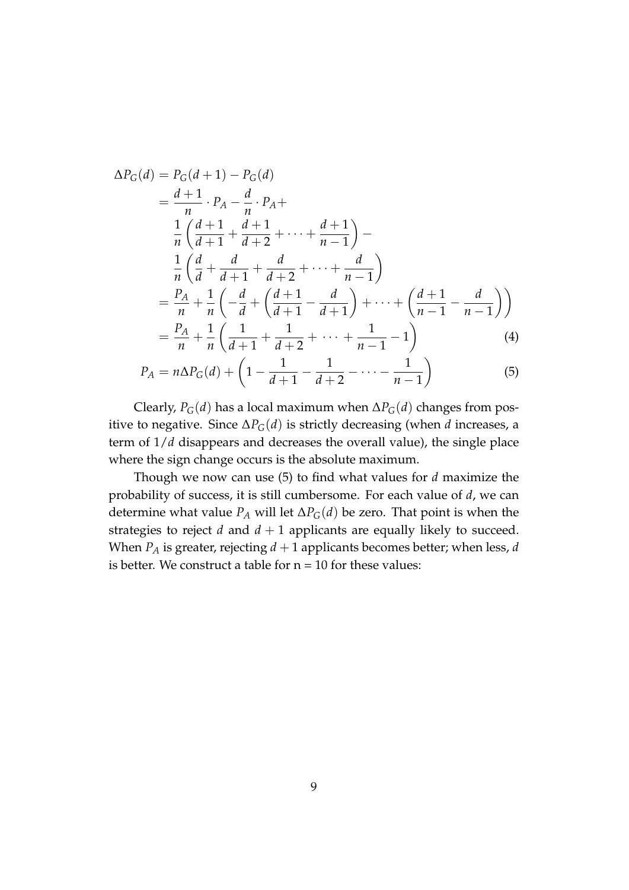$$
\Delta P_G(d) = P_G(d+1) - P_G(d)
$$
  
=  $\frac{d+1}{n} \cdot P_A - \frac{d}{n} \cdot P_A +$   

$$
\frac{1}{n} \left( \frac{d+1}{d+1} + \frac{d+1}{d+2} + \dots + \frac{d+1}{n-1} \right) -
$$
  

$$
\frac{1}{n} \left( \frac{d}{d} + \frac{d}{d+1} + \frac{d}{d+2} + \dots + \frac{d}{n-1} \right)
$$
  
=  $\frac{P_A}{n} + \frac{1}{n} \left( -\frac{d}{d} + \left( \frac{d+1}{d+1} - \frac{d}{d+1} \right) + \dots + \left( \frac{d+1}{n-1} - \frac{d}{n-1} \right) \right)$   
=  $\frac{P_A}{n} + \frac{1}{n} \left( \frac{1}{d+1} + \frac{1}{d+2} + \dots + \frac{1}{n-1} - 1 \right)$  (4)

$$
P_A = n\Delta P_G(d) + \left(1 - \frac{1}{d+1} - \frac{1}{d+2} - \dots - \frac{1}{n-1}\right)
$$
(5)

Clearly,  $P_G(d)$  has a local maximum when  $\Delta P_G(d)$  changes from positive to negative. Since  $\Delta P_G(d)$  is strictly decreasing (when *d* increases, a term of 1/*d* disappears and decreases the overall value), the single place where the sign change occurs is the absolute maximum.

Though we now can use (5) to find what values for *d* maximize the probability of success, it is still cumbersome. For each value of *d*, we can determine what value  $P_A$  will let  $\Delta P_G(d)$  be zero. That point is when the strategies to reject  $d$  and  $d + 1$  applicants are equally likely to succeed. When  $P_A$  is greater, rejecting  $d + 1$  applicants becomes better; when less,  $d$ is better. We construct a table for  $n = 10$  for these values: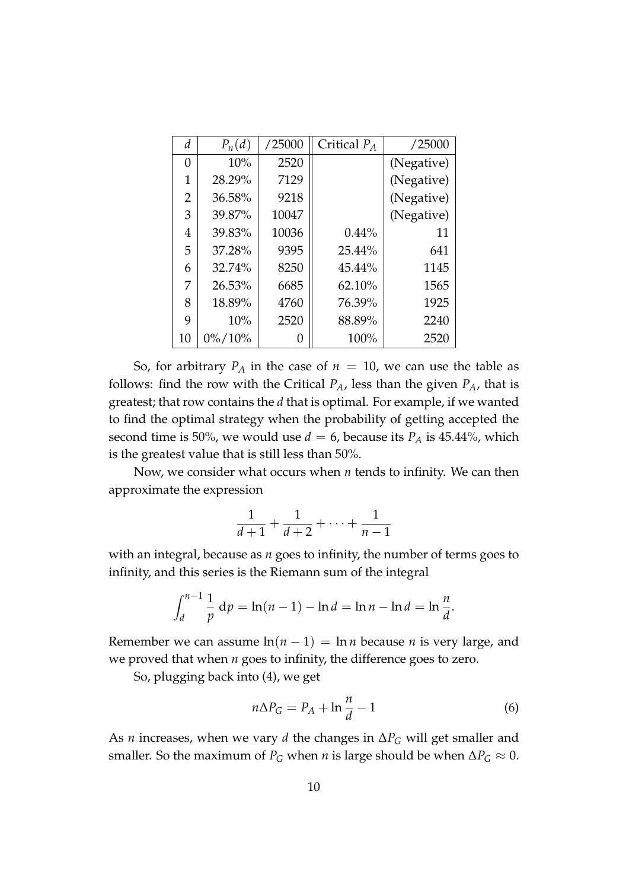| d  | $P_n(d)$   | /25000 | Critical $P_A$ | /25000     |
|----|------------|--------|----------------|------------|
| 0  | 10%        | 2520   |                | (Negative) |
| 1  | 28.29%     | 7129   |                | (Negative) |
| 2  | 36.58%     | 9218   |                | (Negative) |
| 3  | 39.87%     | 10047  |                | (Negative) |
| 4  | 39.83%     | 10036  | 0.44%          | 11         |
| 5  | 37.28%     | 9395   | 25.44%         | 641        |
| 6  | 32.74%     | 8250   | 45.44%         | 1145       |
| 7  | 26.53%     | 6685   | 62.10%         | 1565       |
| 8  | 18.89%     | 4760   | 76.39%         | 1925       |
| 9  | 10%        | 2520   | 88.89%         | 2240       |
| 10 | $0\%/10\%$ |        | 100%           | 2520       |

So, for arbitrary  $P_A$  in the case of  $n = 10$ , we can use the table as follows: find the row with the Critical  $P_A$ , less than the given  $P_A$ , that is greatest; that row contains the *d* that is optimal. For example, if we wanted to find the optimal strategy when the probability of getting accepted the second time is 50%, we would use  $d = 6$ , because its  $P_A$  is 45.44%, which is the greatest value that is still less than 50%.

Now, we consider what occurs when *n* tends to infinity. We can then approximate the expression

$$
\frac{1}{d+1} + \frac{1}{d+2} + \dots + \frac{1}{n-1}
$$

with an integral, because as *n* goes to infinity, the number of terms goes to infinity, and this series is the Riemann sum of the integral

$$
\int_{d}^{n-1} \frac{1}{p} dp = \ln(n-1) - \ln d = \ln n - \ln d = \ln \frac{n}{d}.
$$

Remember we can assume  $\ln(n-1) = \ln n$  because *n* is very large, and we proved that when *n* goes to infinity, the difference goes to zero.

So, plugging back into (4), we get

$$
n\Delta P_G = P_A + \ln\frac{n}{d} - 1\tag{6}
$$

As *n* increases, when we vary *d* the changes in ∆*P<sup>G</sup>* will get smaller and smaller. So the maximum of  $P_G$  when *n* is large should be when  $\Delta P_G \approx 0$ .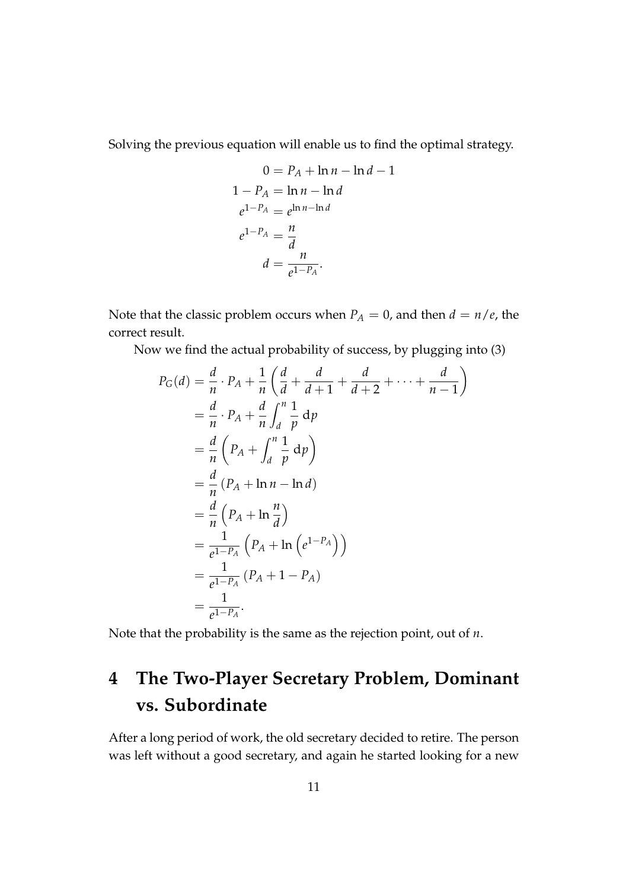Solving the previous equation will enable us to find the optimal strategy.

$$
0 = P_A + \ln n - \ln d - 1
$$
  
\n
$$
1 - P_A = \ln n - \ln d
$$
  
\n
$$
e^{1-P_A} = e^{\ln n - \ln d}
$$
  
\n
$$
e^{1-P_A} = \frac{n}{d}
$$
  
\n
$$
d = \frac{n}{e^{1-P_A}}.
$$

Note that the classic problem occurs when  $P_A = 0$ , and then  $d = n/e$ , the correct result.

Now we find the actual probability of success, by plugging into (3)

$$
P_G(d) = \frac{d}{n} \cdot P_A + \frac{1}{n} \left( \frac{d}{d} + \frac{d}{d+1} + \frac{d}{d+2} + \dots + \frac{d}{n-1} \right)
$$
  
=  $\frac{d}{n} \cdot P_A + \frac{d}{n} \int_d^n \frac{1}{p} dp$   
=  $\frac{d}{n} \left( P_A + \int_d^n \frac{1}{p} dp \right)$   
=  $\frac{d}{n} (P_A + \ln n - \ln d)$   
=  $\frac{d}{n} (P_A + \ln \frac{n}{d})$   
=  $\frac{1}{e^{1-P_A}} (P_A + \ln (e^{1-P_A}))$   
=  $\frac{1}{e^{1-P_A}} (P_A + 1 - P_A)$   
=  $\frac{1}{e^{1-P_A}}.$ 

Note that the probability is the same as the rejection point, out of *n*.

## **4 The Two-Player Secretary Problem, Dominant vs. Subordinate**

After a long period of work, the old secretary decided to retire. The person was left without a good secretary, and again he started looking for a new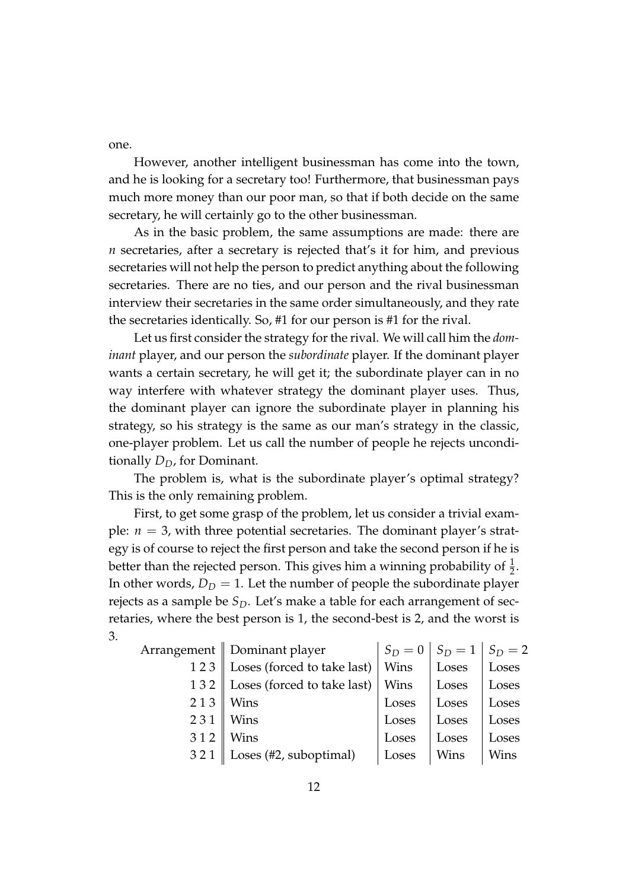one.

However, another intelligent businessman has come into the town, and he is looking for a secretary too! Furthermore, that businessman pays much more money than our poor man, so that if both decide on the same secretary, he will certainly go to the other businessman.

As in the basic problem, the same assumptions are made: there are *n* secretaries, after a secretary is rejected that's it for him, and previous secretaries will not help the person to predict anything about the following secretaries. There are no ties, and our person and the rival businessman interview their secretaries in the same order simultaneously, and they rate the secretaries identically. So, #1 for our person is #1 for the rival.

Let us first consider the strategy for the rival. We will call him the *dominant* player, and our person the *subordinate* player. If the dominant player wants a certain secretary, he will get it; the subordinate player can in no way interfere with whatever strategy the dominant player uses. Thus, the dominant player can ignore the subordinate player in planning his strategy, so his strategy is the same as our man's strategy in the classic, one-player problem. Let us call the number of people he rejects unconditionally *DD*, for Dominant.

The problem is, what is the subordinate player's optimal strategy? This is the only remaining problem.

First, to get some grasp of the problem, let us consider a trivial example:  $n = 3$ , with three potential secretaries. The dominant player's strategy is of course to reject the first person and take the second person if he is better than the rejected person. This gives him a winning probability of  $\frac{1}{2}$ . In other words,  $D_D = 1$ . Let the number of people the subordinate player rejects as a sample be *SD*. Let's make a table for each arrangement of secretaries, where the best person is 1, the second-best is 2, and the worst is 3.

|     | Arrangement    Dominant player | $S_D=0$ | $S_D = 1   S_D = 2$ |       |
|-----|--------------------------------|---------|---------------------|-------|
| 123 | Loses (forced to take last)    | Wins    | Loses               | Loses |
| 132 | Loses (forced to take last)    | Wins    | Loses               | Loses |
| 213 | Wins                           | Loses   | Loses               | Loses |
| 231 | Wins                           | Loses   | Loses               | Loses |
| 312 | Wins                           | Loses   | Loses               | Loses |
| 321 | Loses (#2, suboptimal)         | Loses   | Wins                | Wins  |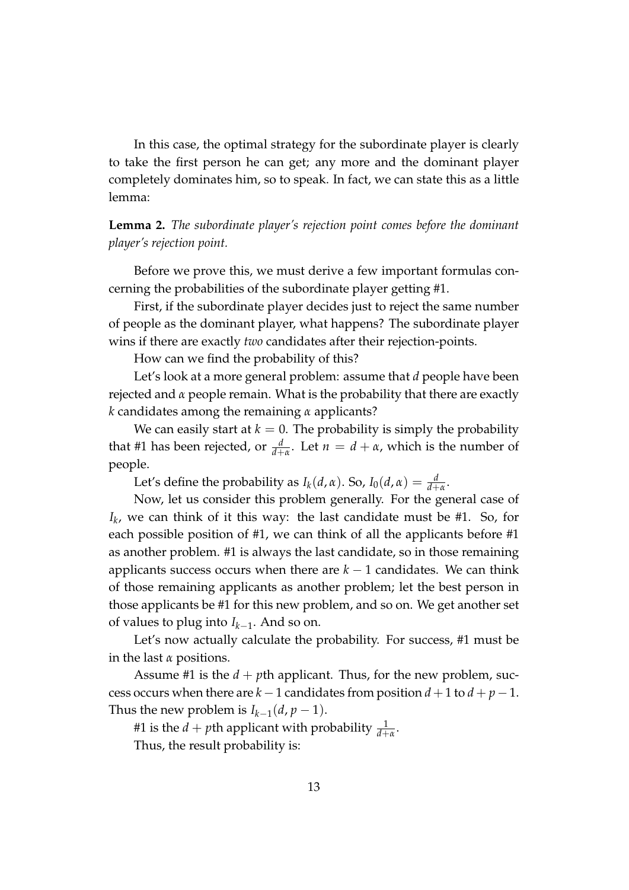In this case, the optimal strategy for the subordinate player is clearly to take the first person he can get; any more and the dominant player completely dominates him, so to speak. In fact, we can state this as a little lemma:

**Lemma 2.** *The subordinate player's rejection point comes before the dominant player's rejection point.*

Before we prove this, we must derive a few important formulas concerning the probabilities of the subordinate player getting #1.

First, if the subordinate player decides just to reject the same number of people as the dominant player, what happens? The subordinate player wins if there are exactly *two* candidates after their rejection-points.

How can we find the probability of this?

Let's look at a more general problem: assume that *d* people have been rejected and *α* people remain. What is the probability that there are exactly *k* candidates among the remaining *α* applicants?

We can easily start at  $k = 0$ . The probability is simply the probability that #1 has been rejected, or  $\frac{d}{d+\alpha}$ . Let  $n = d + \alpha$ , which is the number of people.

Let's define the probability as  $I_k(d, \alpha)$ . So,  $I_0(d, \alpha) = \frac{d}{d+\alpha}$ .

Now, let us consider this problem generally. For the general case of *Ik* , we can think of it this way: the last candidate must be #1. So, for each possible position of #1, we can think of all the applicants before #1 as another problem. #1 is always the last candidate, so in those remaining applicants success occurs when there are  $k - 1$  candidates. We can think of those remaining applicants as another problem; let the best person in those applicants be #1 for this new problem, and so on. We get another set of values to plug into *Ik*−<sup>1</sup> . And so on.

Let's now actually calculate the probability. For success, #1 must be in the last *α* positions.

Assume #1 is the  $d + pt$ h applicant. Thus, for the new problem, success occurs when there are  $k - 1$  candidates from position  $d + 1$  to  $d + p - 1$ . Thus the new problem is  $I_{k-1}(d, p-1)$ .

#1 is the  $d + p$ th applicant with probability  $\frac{1}{d + \alpha}$ .

Thus, the result probability is: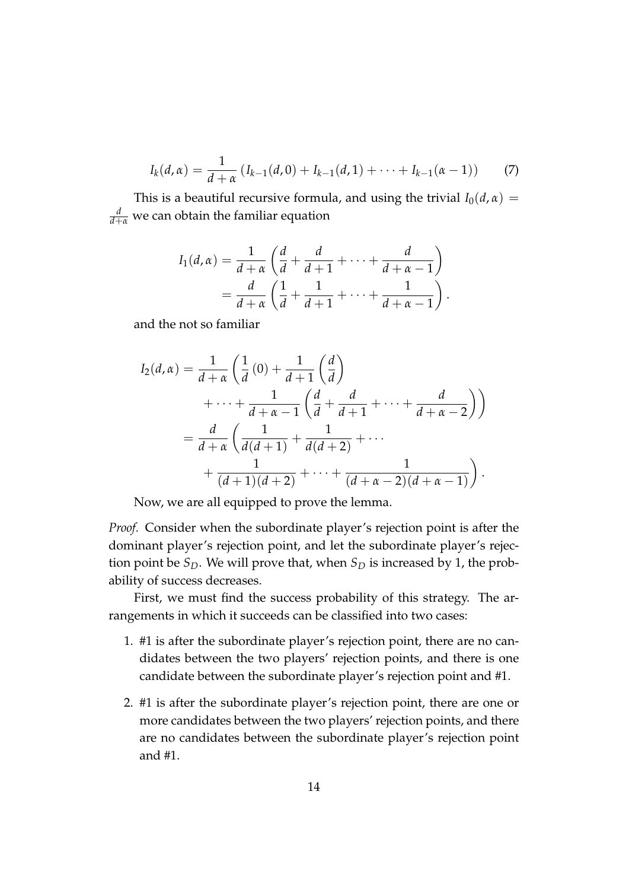$$
I_k(d,\alpha) = \frac{1}{d+\alpha} \left( I_{k-1}(d,0) + I_{k-1}(d,1) + \cdots + I_{k-1}(\alpha-1) \right) \tag{7}
$$

This is a beautiful recursive formula, and using the trivial  $I_0(d,\alpha)$  = *d <sup>d</sup>*+*<sup>α</sup>* we can obtain the familiar equation

$$
I_1(d, \alpha) = \frac{1}{d + \alpha} \left( \frac{d}{d} + \frac{d}{d + 1} + \dots + \frac{d}{d + \alpha - 1} \right)
$$
  
= 
$$
\frac{d}{d + \alpha} \left( \frac{1}{d} + \frac{1}{d + 1} + \dots + \frac{1}{d + \alpha - 1} \right).
$$

and the not so familiar

$$
I_2(d,\alpha) = \frac{1}{d+\alpha} \left( \frac{1}{d} (0) + \frac{1}{d+1} \left( \frac{d}{d} \right) + \cdots + \frac{1}{d+\alpha-1} \left( \frac{d}{d} + \frac{d}{d+1} + \cdots + \frac{d}{d+\alpha-2} \right) \right)
$$
  
= 
$$
\frac{d}{d+\alpha} \left( \frac{1}{d(d+1)} + \frac{1}{d(d+2)} + \cdots + \frac{1}{(d+1)(d+2)} + \cdots + \frac{1}{(d+\alpha-2)(d+\alpha-1)} \right).
$$

Now, we are all equipped to prove the lemma.

*Proof.* Consider when the subordinate player's rejection point is after the dominant player's rejection point, and let the subordinate player's rejection point be  $S_D$ . We will prove that, when  $S_D$  is increased by 1, the probability of success decreases.

First, we must find the success probability of this strategy. The arrangements in which it succeeds can be classified into two cases:

- 1. #1 is after the subordinate player's rejection point, there are no candidates between the two players' rejection points, and there is one candidate between the subordinate player's rejection point and #1.
- 2. #1 is after the subordinate player's rejection point, there are one or more candidates between the two players' rejection points, and there are no candidates between the subordinate player's rejection point and #1.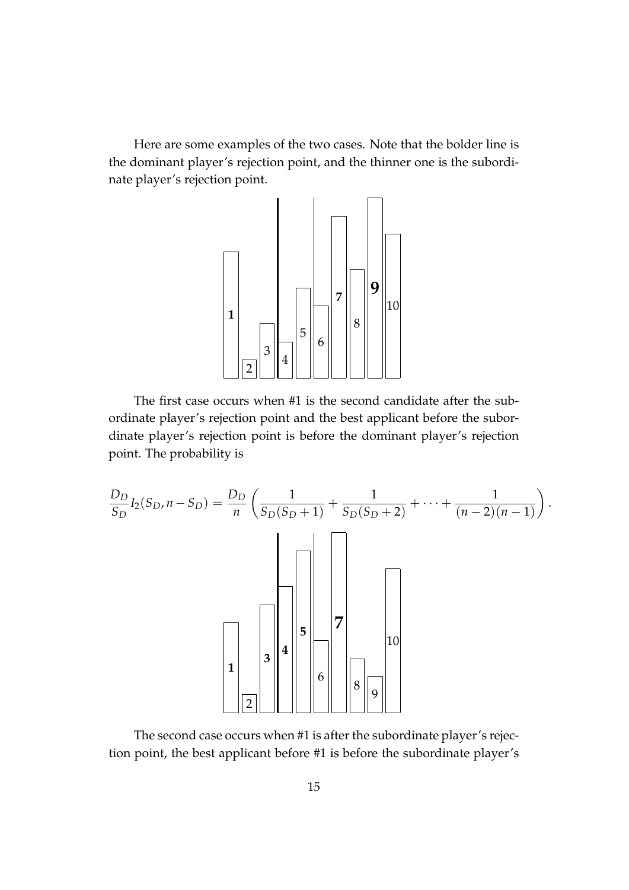Here are some examples of the two cases. Note that the bolder line is the dominant player's rejection point, and the thinner one is the subordinate player's rejection point.



The first case occurs when #1 is the second candidate after the subordinate player's rejection point and the best applicant before the subordinate player's rejection point is before the dominant player's rejection point. The probability is

$$
\frac{D_D}{S_D} I_2(S_D, n - S_D) = \frac{D_D}{n} \left( \frac{1}{S_D(S_D + 1)} + \frac{1}{S_D(S_D + 2)} + \dots + \frac{1}{(n - 2)(n - 1)} \right).
$$

The second case occurs when #1 is after the subordinate player's rejection point, the best applicant before #1 is before the subordinate player's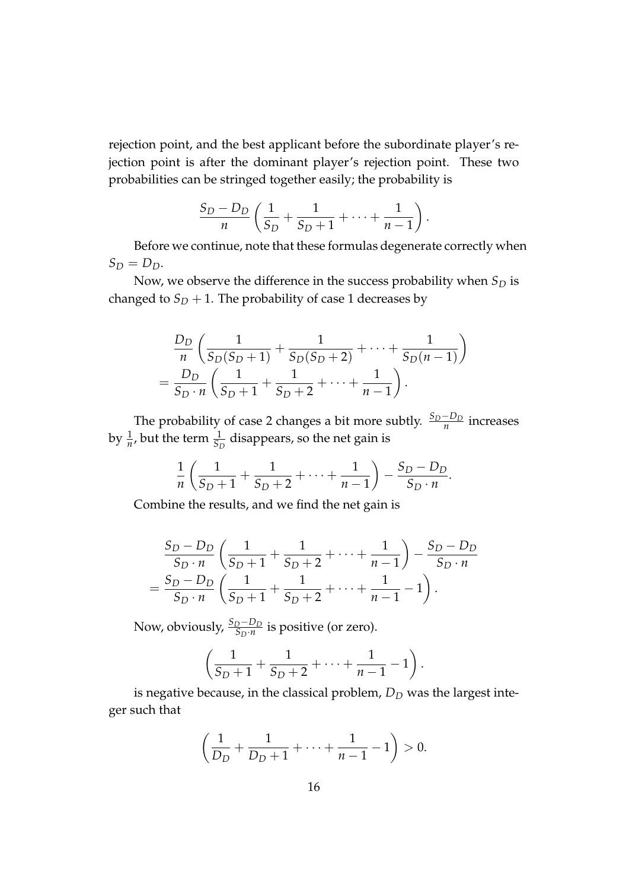rejection point, and the best applicant before the subordinate player's rejection point is after the dominant player's rejection point. These two probabilities can be stringed together easily; the probability is

$$
\frac{S_D - D_D}{n} \left( \frac{1}{S_D} + \frac{1}{S_D + 1} + \dots + \frac{1}{n-1} \right)
$$

.

Before we continue, note that these formulas degenerate correctly when  $S_D = D_D$ .

Now, we observe the difference in the success probability when *S<sup>D</sup>* is changed to  $S_D + 1$ . The probability of case 1 decreases by

$$
\frac{D_D}{n} \left( \frac{1}{S_D(S_D+1)} + \frac{1}{S_D(S_D+2)} + \dots + \frac{1}{S_D(n-1)} \right)
$$
  
= 
$$
\frac{D_D}{S_D \cdot n} \left( \frac{1}{S_D+1} + \frac{1}{S_D+2} + \dots + \frac{1}{n-1} \right).
$$

The probability of case 2 changes a bit more subtly.  $\frac{S_D - D_D}{n}$  increases by  $\frac{1}{n}$ , but the term  $\frac{1}{S_D}$  disappears, so the net gain is

$$
\frac{1}{n}\left(\frac{1}{S_D+1}+\frac{1}{S_D+2}+\cdots+\frac{1}{n-1}\right)-\frac{S_D-D_D}{S_D\cdot n}.
$$

Combine the results, and we find the net gain is

$$
\frac{S_D - D_D}{S_D \cdot n} \left( \frac{1}{S_D + 1} + \frac{1}{S_D + 2} + \dots + \frac{1}{n-1} \right) - \frac{S_D - D_D}{S_D \cdot n} = \frac{S_D - D_D}{S_D \cdot n} \left( \frac{1}{S_D + 1} + \frac{1}{S_D + 2} + \dots + \frac{1}{n-1} - 1 \right).
$$

Now, obviously,  $\frac{S_D-D_D}{S_D\cdot n}$  is positive (or zero).

$$
\left(\frac{1}{S_D+1}+\frac{1}{S_D+2}+\cdots+\frac{1}{n-1}-1\right).
$$

is negative because, in the classical problem,  $D<sub>D</sub>$  was the largest integer such that

$$
\left(\frac{1}{D_D} + \frac{1}{D_D + 1} + \dots + \frac{1}{n-1} - 1\right) > 0.
$$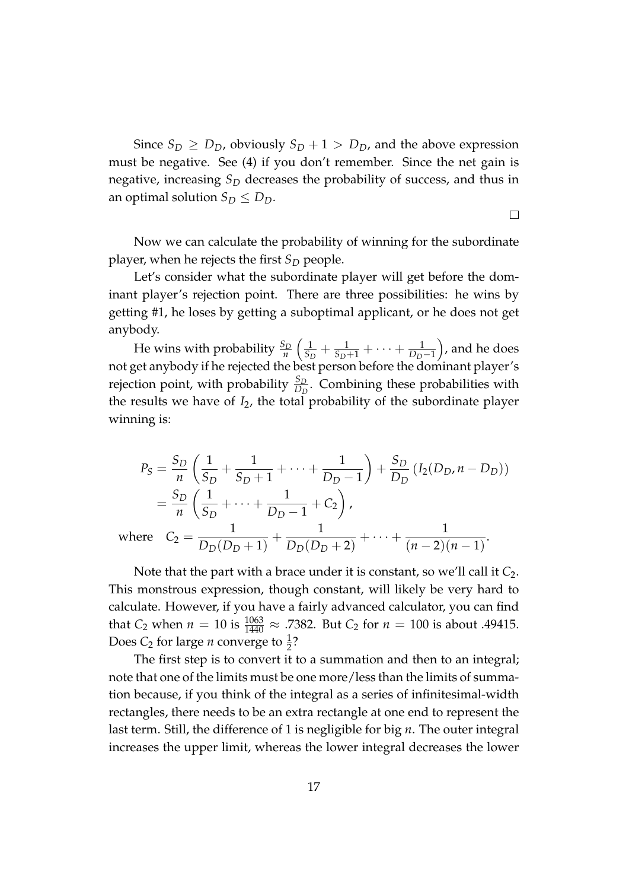Since  $S_D \geq D_D$ , obviously  $S_D + 1 > D_D$ , and the above expression must be negative. See (4) if you don't remember. Since the net gain is negative, increasing *S<sup>D</sup>* decreases the probability of success, and thus in an optimal solution  $S_D \leq D_D$ .

Now we can calculate the probability of winning for the subordinate player, when he rejects the first  $S_D$  people.

 $\Box$ 

Let's consider what the subordinate player will get before the dominant player's rejection point. There are three possibilities: he wins by getting #1, he loses by getting a suboptimal applicant, or he does not get anybody.

He wins with probability  $\frac{S_D}{n}$  $\sqrt{1}$  $\frac{1}{S_D}$  +  $\frac{1}{S_D+1}$  +  $\cdots$  +  $\frac{1}{D_D-1}$  , and he does not get anybody if he rejected the best person before the dominant player's rejection point, with probability  $\frac{S_D}{D_D}$ . Combining these probabilities with the results we have of *I*2, the total probability of the subordinate player winning is:

$$
P_S = \frac{S_D}{n} \left( \frac{1}{S_D} + \frac{1}{S_D + 1} + \dots + \frac{1}{D_D - 1} \right) + \frac{S_D}{D_D} \left( I_2(D_D, n - D_D) \right)
$$
  
=  $\frac{S_D}{n} \left( \frac{1}{S_D} + \dots + \frac{1}{D_D - 1} + C_2 \right)$ ,  
where  $C_2 = \frac{1}{D_D(D_D + 1)} + \frac{1}{D_D(D_D + 2)} + \dots + \frac{1}{(n - 2)(n - 1)}$ .

Note that the part with a brace under it is constant, so we'll call it *C*<sub>2</sub>. This monstrous expression, though constant, will likely be very hard to calculate. However, if you have a fairly advanced calculator, you can find that *C*<sub>2</sub> when  $n = 10$  is  $\frac{1063}{1440} \approx .7382$ . But *C*<sub>2</sub> for  $n = 100$  is about .49415. Does  $C_2$  for large *n* converge to  $\frac{1}{2}$ ?

The first step is to convert it to a summation and then to an integral; note that one of the limits must be one more/less than the limits of summation because, if you think of the integral as a series of infinitesimal-width rectangles, there needs to be an extra rectangle at one end to represent the last term. Still, the difference of 1 is negligible for big *n*. The outer integral increases the upper limit, whereas the lower integral decreases the lower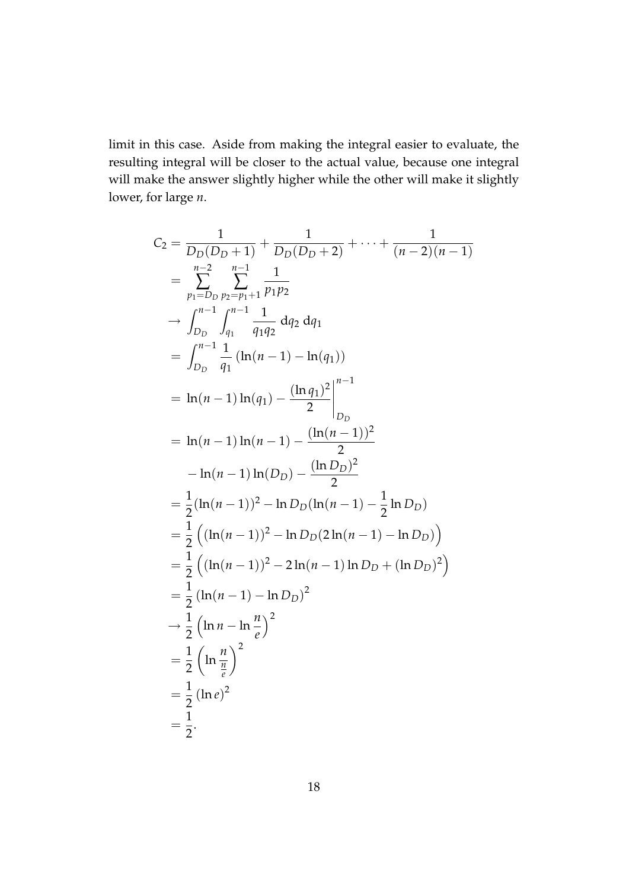limit in this case. Aside from making the integral easier to evaluate, the resulting integral will be closer to the actual value, because one integral will make the answer slightly higher while the other will make it slightly lower, for large *n*.

$$
C_2 = \frac{1}{D_D(D_D+1)} + \frac{1}{D_D(D_D+2)} + \dots + \frac{1}{(n-2)(n-1)}
$$
  
\n
$$
= \sum_{p_1=D_D}^{n-2} \sum_{p_2=p_1+1}^{n-1} \frac{1}{p_1p_2}
$$
  
\n
$$
\rightarrow \int_{D_D}^{n-1} \int_{q_1}^{n-1} \frac{1}{q_1q_2} dq_2 dq_1
$$
  
\n
$$
= \int_{D_D}^{n-1} \frac{1}{q_1} (\ln(n-1) - \ln(q_1))
$$
  
\n
$$
= \ln(n-1) \ln(q_1) - \frac{(\ln q_1)^2}{2} \Big|_{D_D}^{n-1}
$$
  
\n
$$
= \ln(n-1) \ln(D_D) - \frac{(\ln(D_D))^2}{2}
$$
  
\n
$$
= \frac{1}{2} (\ln(n-1))^2 - \ln D_D(\ln(n-1) - \frac{1}{2} \ln D_D)
$$
  
\n
$$
= \frac{1}{2} ((\ln(n-1))^2 - \ln D_D(2 \ln(n-1) - \ln D_D))
$$
  
\n
$$
= \frac{1}{2} ((\ln(n-1))^2 - 2 \ln(n-1) \ln D_D + (\ln D_D)^2)
$$
  
\n
$$
= \frac{1}{2} (\ln n - \ln \frac{n}{e})^2
$$
  
\n
$$
\rightarrow \frac{1}{2} (\ln n - \ln \frac{n}{e})^2
$$
  
\n
$$
= \frac{1}{2} (\ln e)^2
$$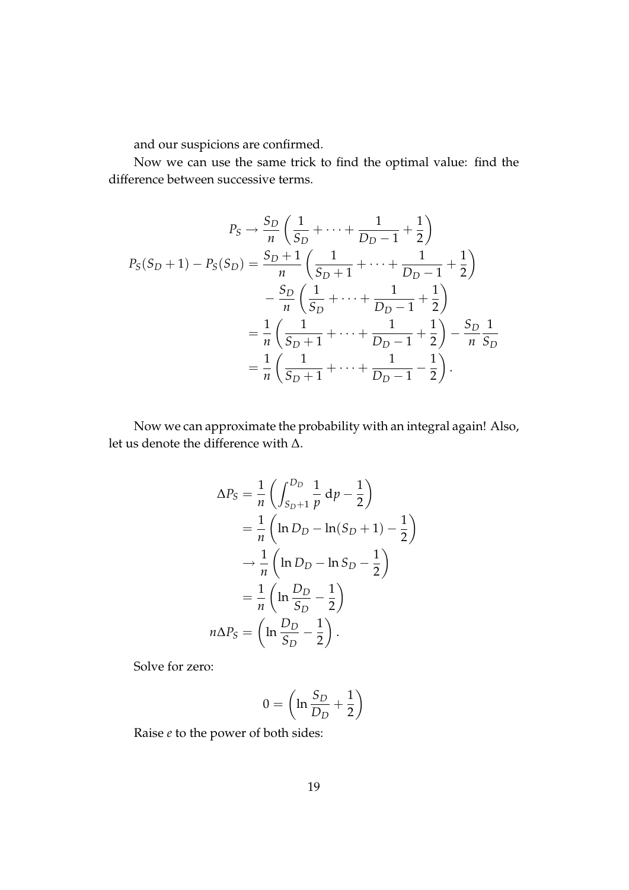and our suspicions are confirmed.

Now we can use the same trick to find the optimal value: find the difference between successive terms.

$$
P_S \rightarrow \frac{S_D}{n} \left( \frac{1}{S_D} + \dots + \frac{1}{D_D - 1} + \frac{1}{2} \right)
$$
  
\n
$$
P_S(S_D + 1) - P_S(S_D) = \frac{S_D + 1}{n} \left( \frac{1}{S_D + 1} + \dots + \frac{1}{D_D - 1} + \frac{1}{2} \right)
$$
  
\n
$$
- \frac{S_D}{n} \left( \frac{1}{S_D} + \dots + \frac{1}{D_D - 1} + \frac{1}{2} \right)
$$
  
\n
$$
= \frac{1}{n} \left( \frac{1}{S_D + 1} + \dots + \frac{1}{D_D - 1} + \frac{1}{2} \right) - \frac{S_D}{n} \frac{1}{S_D}
$$
  
\n
$$
= \frac{1}{n} \left( \frac{1}{S_D + 1} + \dots + \frac{1}{D_D - 1} - \frac{1}{2} \right).
$$

Now we can approximate the probability with an integral again! Also, let us denote the difference with ∆.

$$
\Delta P_S = \frac{1}{n} \left( \int_{S_D + 1}^{D_D} \frac{1}{p} dp - \frac{1}{2} \right)
$$
  
=  $\frac{1}{n} \left( \ln D_D - \ln(S_D + 1) - \frac{1}{2} \right)$   
 $\rightarrow \frac{1}{n} \left( \ln D_D - \ln S_D - \frac{1}{2} \right)$   
=  $\frac{1}{n} \left( \ln \frac{D_D}{S_D} - \frac{1}{2} \right)$   
 $n \Delta P_S = \left( \ln \frac{D_D}{S_D} - \frac{1}{2} \right).$ 

Solve for zero:

$$
0 = \left(\ln \frac{S_D}{D_D} + \frac{1}{2}\right)
$$

Raise *e* to the power of both sides: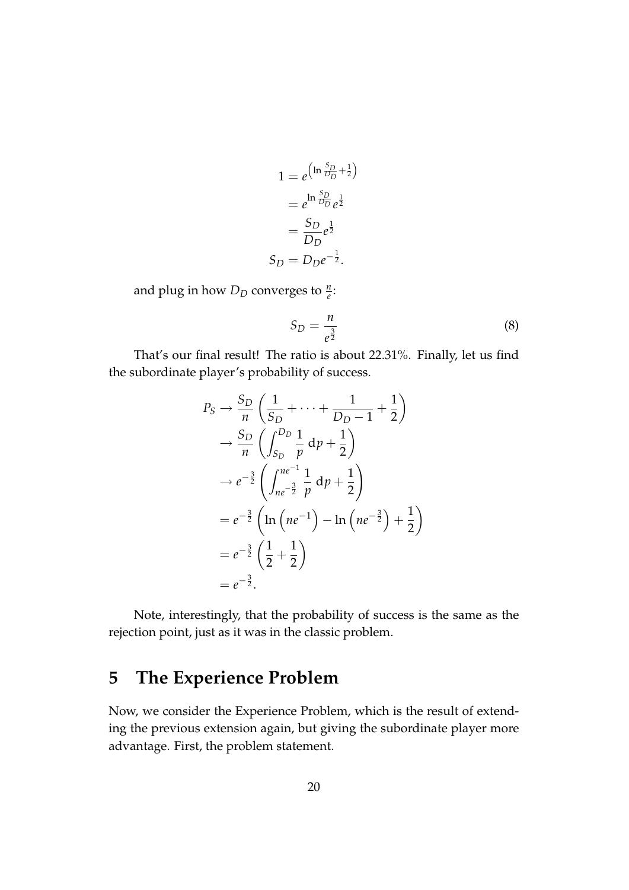$$
1 = e^{\left(\ln \frac{S_D}{D_D} + \frac{1}{2}\right)}
$$

$$
= e^{\ln \frac{S_D}{D_D}} e^{\frac{1}{2}}
$$

$$
= \frac{S_D}{D_D} e^{\frac{1}{2}}
$$

$$
S_D = D_D e^{-\frac{1}{2}}.
$$

and plug in how  $D_D$  converges to  $\frac{n}{e}$ :

$$
S_D = \frac{n}{e^{\frac{3}{2}}} \tag{8}
$$

That's our final result! The ratio is about 22.31%. Finally, let us find the subordinate player's probability of success.

$$
P_S \rightarrow \frac{S_D}{n} \left( \frac{1}{S_D} + \dots + \frac{1}{D_D - 1} + \frac{1}{2} \right)
$$
  
\n
$$
\rightarrow \frac{S_D}{n} \left( \int_{S_D}^{D_D} \frac{1}{p} dp + \frac{1}{2} \right)
$$
  
\n
$$
\rightarrow e^{-\frac{3}{2}} \left( \int_{ne^{-\frac{3}{2}}}^{ne^{-1}} \frac{1}{p} dp + \frac{1}{2} \right)
$$
  
\n
$$
= e^{-\frac{3}{2}} \left( \ln \left( ne^{-1} \right) - \ln \left( ne^{-\frac{3}{2}} \right) + \frac{1}{2} \right)
$$
  
\n
$$
= e^{-\frac{3}{2}} \left( \frac{1}{2} + \frac{1}{2} \right)
$$
  
\n
$$
= e^{-\frac{3}{2}}.
$$

Note, interestingly, that the probability of success is the same as the rejection point, just as it was in the classic problem.

#### **5 The Experience Problem**

Now, we consider the Experience Problem, which is the result of extending the previous extension again, but giving the subordinate player more advantage. First, the problem statement.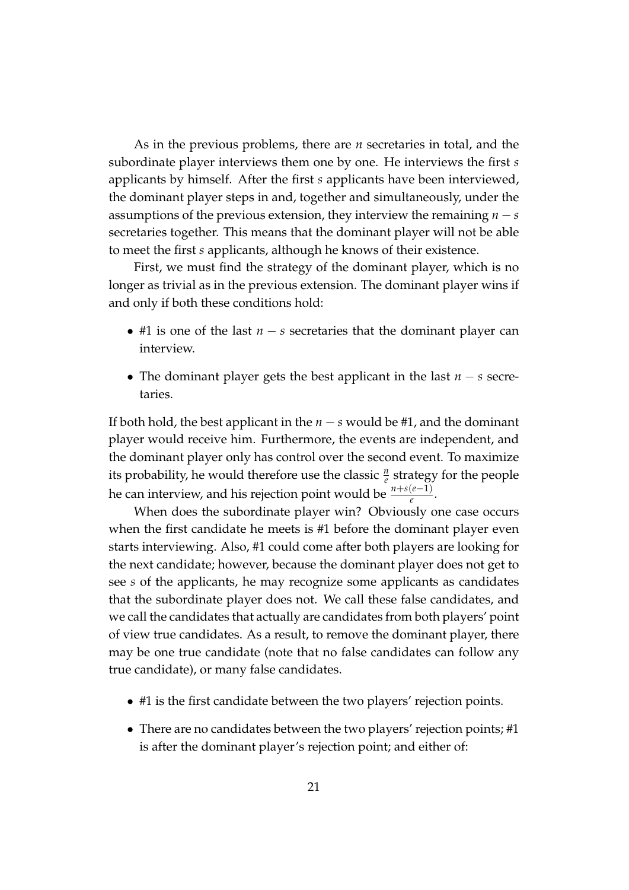As in the previous problems, there are *n* secretaries in total, and the subordinate player interviews them one by one. He interviews the first *s* applicants by himself. After the first *s* applicants have been interviewed, the dominant player steps in and, together and simultaneously, under the assumptions of the previous extension, they interview the remaining  $n - s$ secretaries together. This means that the dominant player will not be able to meet the first *s* applicants, although he knows of their existence.

First, we must find the strategy of the dominant player, which is no longer as trivial as in the previous extension. The dominant player wins if and only if both these conditions hold:

- #1 is one of the last *n* − *s* secretaries that the dominant player can interview.
- The dominant player gets the best applicant in the last *n* − *s* secretaries.

If both hold, the best applicant in the *n* − *s* would be #1, and the dominant player would receive him. Furthermore, the events are independent, and the dominant player only has control over the second event. To maximize its probability, he would therefore use the classic  $\frac{n}{e}$  strategy for the people he can interview, and his rejection point would be *<sup>n</sup>*+*s*(*e*−1) *e* .

When does the subordinate player win? Obviously one case occurs when the first candidate he meets is #1 before the dominant player even starts interviewing. Also, #1 could come after both players are looking for the next candidate; however, because the dominant player does not get to see *s* of the applicants, he may recognize some applicants as candidates that the subordinate player does not. We call these false candidates, and we call the candidates that actually are candidates from both players' point of view true candidates. As a result, to remove the dominant player, there may be one true candidate (note that no false candidates can follow any true candidate), or many false candidates.

- #1 is the first candidate between the two players' rejection points.
- There are no candidates between the two players' rejection points; #1 is after the dominant player's rejection point; and either of: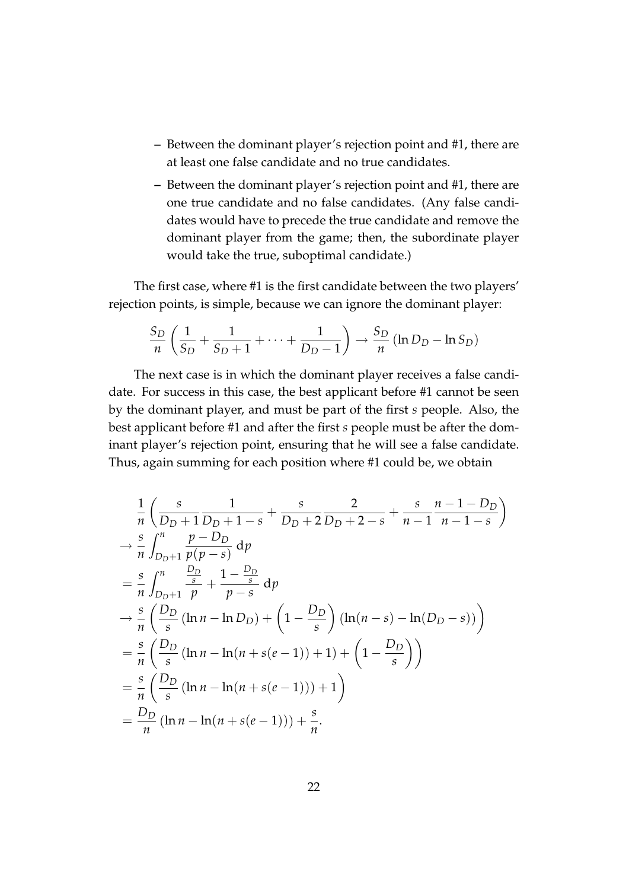- **–** Between the dominant player's rejection point and #1, there are at least one false candidate and no true candidates.
- **–** Between the dominant player's rejection point and #1, there are one true candidate and no false candidates. (Any false candidates would have to precede the true candidate and remove the dominant player from the game; then, the subordinate player would take the true, suboptimal candidate.)

The first case, where #1 is the first candidate between the two players' rejection points, is simple, because we can ignore the dominant player:

$$
\frac{S_D}{n}\left(\frac{1}{S_D} + \frac{1}{S_D+1} + \cdots + \frac{1}{D_D-1}\right) \rightarrow \frac{S_D}{n}\left(\ln D_D - \ln S_D\right)
$$

The next case is in which the dominant player receives a false candidate. For success in this case, the best applicant before #1 cannot be seen by the dominant player, and must be part of the first *s* people. Also, the best applicant before #1 and after the first *s* people must be after the dominant player's rejection point, ensuring that he will see a false candidate. Thus, again summing for each position where #1 could be, we obtain

$$
\frac{1}{n} \left( \frac{s}{D_D + 1} \frac{1}{D_D + 1 - s} + \frac{s}{D_D + 2} \frac{2}{D_D + 2 - s} + \frac{s}{n - 1} \frac{n - 1 - D_D}{n - 1 - s} \right)
$$
\n
$$
\rightarrow \frac{s}{n} \int_{D_D + 1}^{n} \frac{p - D_D}{p(p - s)} dp
$$
\n
$$
= \frac{s}{n} \int_{D_D + 1}^{n} \frac{\frac{D_D}{s}}{p} + \frac{1 - \frac{D_D}{s}}{p - s} dp
$$
\n
$$
\rightarrow \frac{s}{n} \left( \frac{D_D}{s} (\ln n - \ln D_D) + \left( 1 - \frac{D_D}{s} \right) (\ln(n - s) - \ln(D_D - s)) \right)
$$
\n
$$
= \frac{s}{n} \left( \frac{D_D}{s} (\ln n - \ln(n + s(e - 1)) + 1) + \left( 1 - \frac{D_D}{s} \right) \right)
$$
\n
$$
= \frac{s}{n} \left( \frac{D_D}{s} (\ln n - \ln(n + s(e - 1))) + 1 \right)
$$
\n
$$
= \frac{D_D}{n} (\ln n - \ln(n + s(e - 1))) + \frac{s}{n}.
$$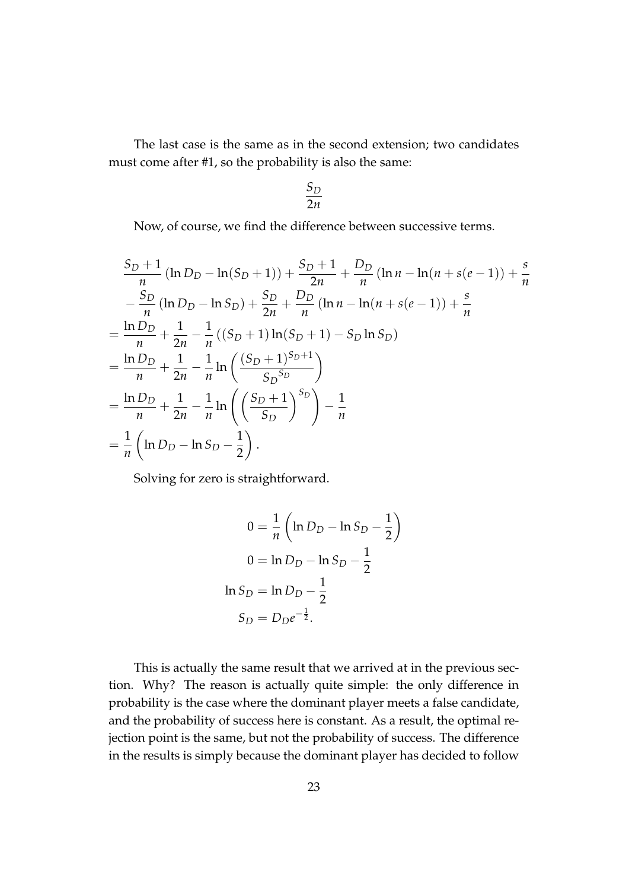The last case is the same as in the second extension; two candidates must come after #1, so the probability is also the same:

$$
\frac{S_D}{2n}
$$

Now, of course, we find the difference between successive terms.

$$
\frac{S_D + 1}{n} (\ln D_D - \ln(S_D + 1)) + \frac{S_D + 1}{2n} + \frac{D_D}{n} (\ln n - \ln(n + s(e - 1)) + \frac{s}{n}
$$
  
\n
$$
- \frac{S_D}{n} (\ln D_D - \ln S_D) + \frac{S_D}{2n} + \frac{D_D}{n} (\ln n - \ln(n + s(e - 1)) + \frac{s}{n}
$$
  
\n
$$
= \frac{\ln D_D}{n} + \frac{1}{2n} - \frac{1}{n} ((S_D + 1) \ln(S_D + 1) - S_D \ln S_D)
$$
  
\n
$$
= \frac{\ln D_D}{n} + \frac{1}{2n} - \frac{1}{n} \ln \left( \frac{(S_D + 1)^{S_D + 1}}{S_D^{S_D}} \right)
$$
  
\n
$$
= \frac{\ln D_D}{n} + \frac{1}{2n} - \frac{1}{n} \ln \left( \left( \frac{S_D + 1}{S_D} \right)^{S_D} \right) - \frac{1}{n}
$$
  
\n
$$
= \frac{1}{n} \left( \ln D_D - \ln S_D - \frac{1}{2} \right).
$$

Solving for zero is straightforward.

$$
0 = \frac{1}{n} \left( \ln D_D - \ln S_D - \frac{1}{2} \right)
$$
  

$$
0 = \ln D_D - \ln S_D - \frac{1}{2}
$$
  

$$
\ln S_D = \ln D_D - \frac{1}{2}
$$
  

$$
S_D = D_D e^{-\frac{1}{2}}.
$$

This is actually the same result that we arrived at in the previous section. Why? The reason is actually quite simple: the only difference in probability is the case where the dominant player meets a false candidate, and the probability of success here is constant. As a result, the optimal rejection point is the same, but not the probability of success. The difference in the results is simply because the dominant player has decided to follow